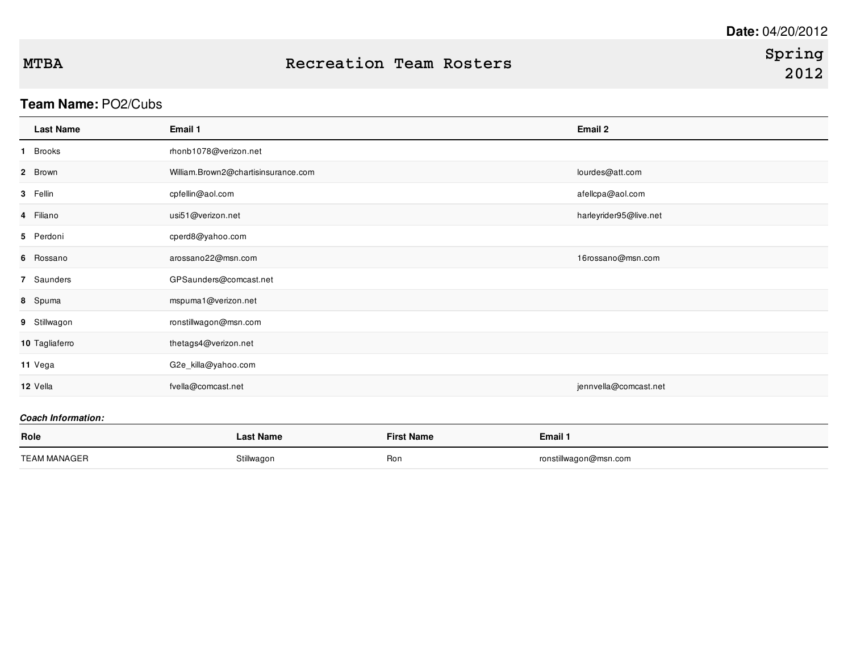### **Team Name:** PO2/Cubs

| <b>Last Name</b> | Email 1                             | Email 2                |
|------------------|-------------------------------------|------------------------|
| 1 Brooks         | rhonb1078@verizon.net               |                        |
| 2 Brown          | William.Brown2@chartisinsurance.com | lourdes@att.com        |
| 3 Fellin         | cpfellin@aol.com                    | afellcpa@aol.com       |
| 4 Filiano        | usi51@verizon.net                   | harleyrider95@live.net |
| 5 Perdoni        | cperd8@yahoo.com                    |                        |
| 6 Rossano        | arossano22@msn.com                  | 16rossano@msn.com      |
| 7 Saunders       | GPSaunders@comcast.net              |                        |
| 8 Spuma          | mspuma1@verizon.net                 |                        |
| 9 Stillwagon     | ronstillwagon@msn.com               |                        |
| 10 Tagliaferro   | thetags4@verizon.net                |                        |
| 11 Vega          | G2e_killa@yahoo.com                 |                        |
| 12 Vella         | fvella@comcast.net                  | jennvella@comcast.net  |
|                  |                                     |                        |

| Role                | <b>Last Name</b> | <b>First Name</b> | Email 1               |
|---------------------|------------------|-------------------|-----------------------|
| <b>TEAM MANAGER</b> | Stillwagon       | Ron               | ronstillwagon@msn.com |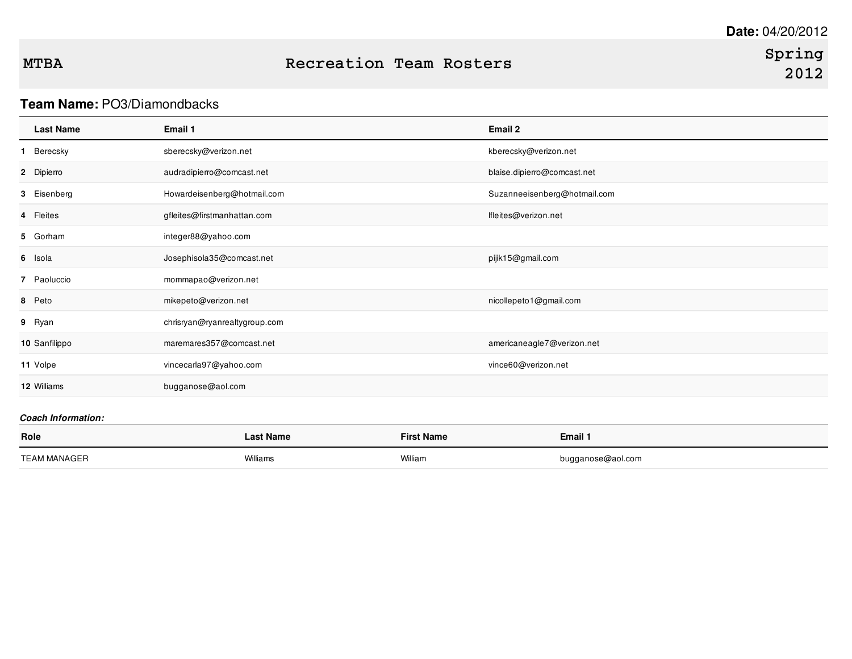### **MTBA Recreation Team Rosters**

### **Team Name:** PO3/Diamondbacks

| <b>Last Name</b> | Email 1                       | Email 2                      |
|------------------|-------------------------------|------------------------------|
| 1 Berecsky       | sberecsky@verizon.net         | kberecsky@verizon.net        |
| 2 Dipierro       | audradipierro@comcast.net     | blaise.dipierro@comcast.net  |
| 3 Eisenberg      | Howardeisenberg@hotmail.com   | Suzanneeisenberg@hotmail.com |
| 4 Fleites        | gfleites@firstmanhattan.com   | lfleites@verizon.net         |
| 5 Gorham         | integer88@yahoo.com           |                              |
| 6 Isola          | Josephisola35@comcast.net     | pijik15@gmail.com            |
| 7 Paoluccio      | mommapao@verizon.net          |                              |
| 8 Peto           | mikepeto@verizon.net          | nicollepeto1@gmail.com       |
| 9 Ryan           | chrisryan@ryanrealtygroup.com |                              |
| 10 Sanfilippo    | maremares357@comcast.net      | americaneagle7@verizon.net   |
| 11 Volpe         | vincecarla97@yahoo.com        | vince60@verizon.net          |
| 12 Williams      | bugganose@aol.com             |                              |

| Role                | Last Name | <b>First Name</b> | Email 1           |
|---------------------|-----------|-------------------|-------------------|
| <b>TEAM MANAGER</b> | Williams  | William           | bugganose@aol.com |
|                     |           |                   |                   |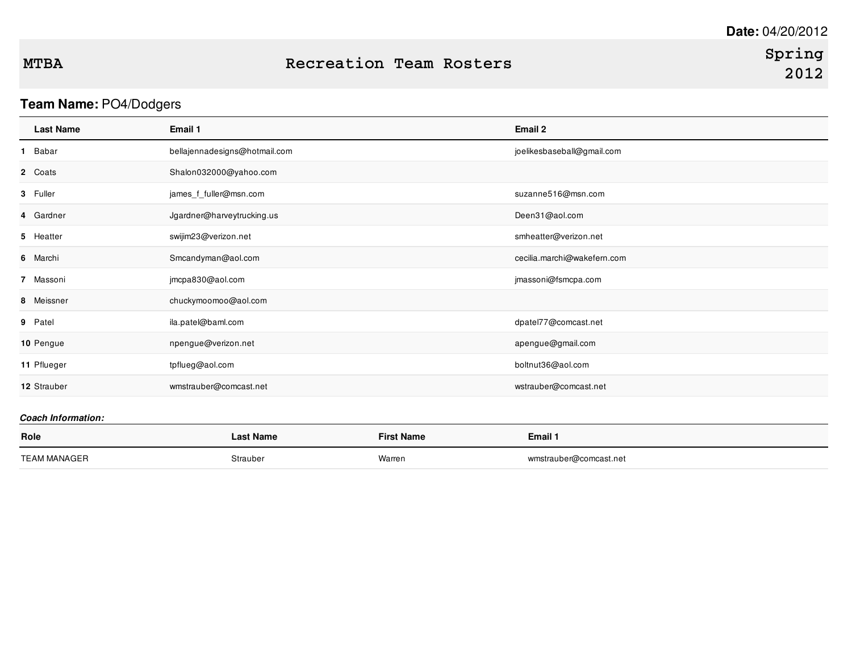# **Spring**

# **Team Name:** PO4/Dodgers

| <b>Last Name</b>          | Email 1                       | Email 2                     |
|---------------------------|-------------------------------|-----------------------------|
| Babar<br>1.               | bellajennadesigns@hotmail.com | joelikesbaseball@gmail.com  |
| 2 Coats                   | Shalon032000@yahoo.com        |                             |
| 3 Fuller                  | james_f_fuller@msn.com        | suzanne516@msn.com          |
| 4 Gardner                 | Jgardner@harveytrucking.us    | Deen31@aol.com              |
| 5 Heatter                 | swijim23@verizon.net          | smheatter@verizon.net       |
| 6 Marchi                  | Smcandyman@aol.com            | cecilia.marchi@wakefern.com |
| 7 Massoni                 | jmcpa830@aol.com              | jmassoni@fsmcpa.com         |
| 8 Meissner                | chuckymoomoo@aol.com          |                             |
| 9 Patel                   | ila.patel@baml.com            | dpatel77@comcast.net        |
| 10 Pengue                 | npengue@verizon.net           | apengue@gmail.com           |
| 11 Pflueger               | tpflueg@aol.com               | boltnut36@aol.com           |
| 12 Strauber               | wmstrauber@comcast.net        | wstrauber@comcast.net       |
| <b>Coach Information:</b> |                               |                             |

| Role         | <b>Last Name</b> | <b>First Name</b> | Email 1                |
|--------------|------------------|-------------------|------------------------|
| TEAM MANAGER | Strauber         | Warren            | wmstrauber@comcast.net |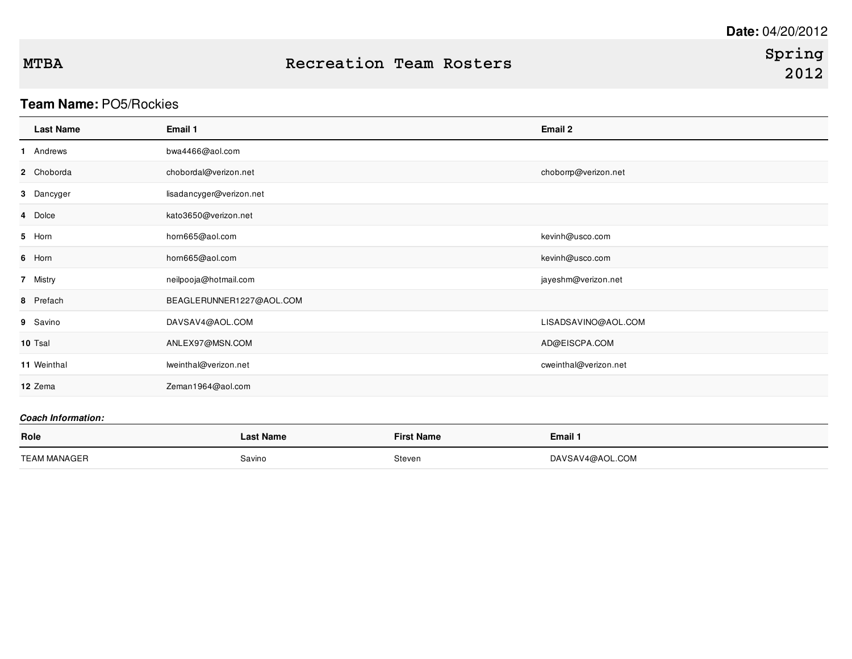## **Team Name:** PO5/Rockies

| <b>Last Name</b> | Email 1                  | Email 2               |
|------------------|--------------------------|-----------------------|
| 1 Andrews        | bwa4466@aol.com          |                       |
| 2 Choborda       | chobordal@verizon.net    | choborrp@verizon.net  |
| 3 Dancyger       | lisadancyger@verizon.net |                       |
| 4 Dolce          | kato3650@verizon.net     |                       |
| 5 Horn           | hom665@aol.com           | kevinh@usco.com       |
| 6 Horn           | hom665@aol.com           | kevinh@usco.com       |
| 7 Mistry         | neilpooja@hotmail.com    | jayeshm@verizon.net   |
| 8 Prefach        | BEAGLERUNNER1227@AOL.COM |                       |
| 9 Savino         | DAVSAV4@AOL.COM          | LISADSAVINO@AOL.COM   |
| 10 Tsal          | ANLEX97@MSN.COM          | AD@EISCPA.COM         |
| 11 Weinthal      | lweinthal@verizon.net    | cweinthal@verizon.net |
| 12 Zema          | Zeman1964@aol.com        |                       |

| Role                | Last Name | <b>First Name</b> | Email 1         |
|---------------------|-----------|-------------------|-----------------|
| <b>TEAM MANAGER</b> | Savino    | Steven            | DAVSAV4@AOL.COM |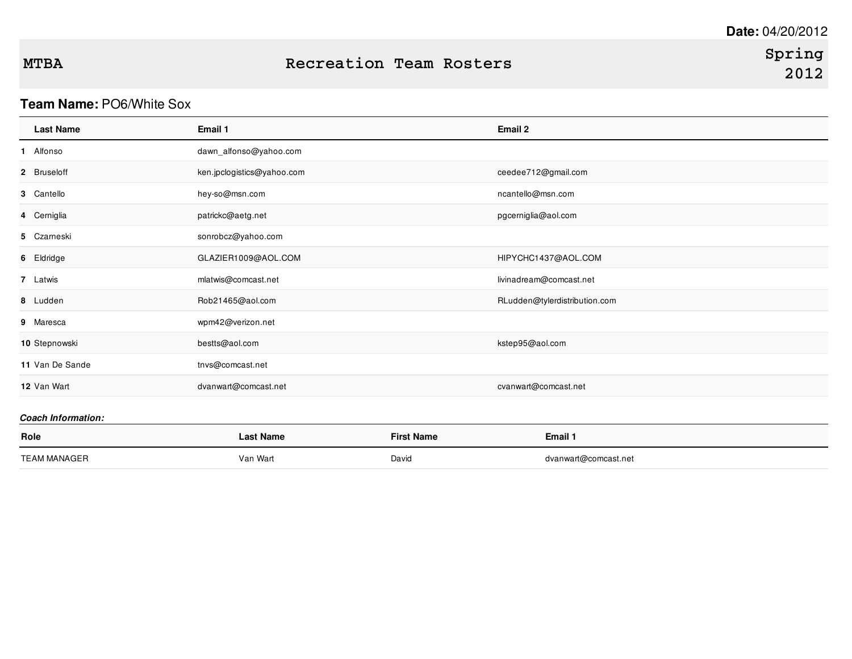### **Team Name:** PO6/White Sox

| <b>Last Name</b>          | Email 1                    | Email 2                       |
|---------------------------|----------------------------|-------------------------------|
| 1 Alfonso                 | dawn_alfonso@yahoo.com     |                               |
| 2 Bruseloff               | ken.jpclogistics@yahoo.com | ceedee712@gmail.com           |
| 3 Cantello                | hey-so@msn.com             | ncantello@msn.com             |
| 4 Cerniglia               | patrickc@aetg.net          | pgcerniglia@aol.com           |
| 5 Czarneski               | sonrobcz@yahoo.com         |                               |
| 6 Eldridge                | GLAZIER1009@AOL.COM        | HIPYCHC1437@AOL.COM           |
| 7 Latwis                  | mlatwis@comcast.net        | livinadream@comcast.net       |
| 8 Ludden                  | Rob21465@aol.com           | RLudden@tylerdistribution.com |
| 9 Maresca                 | wpm42@verizon.net          |                               |
| 10 Stepnowski             | bestts@aol.com             | kstep95@aol.com               |
| 11 Van De Sande           | tnvs@comcast.net           |                               |
| 12 Van Wart               | dvanwart@comcast.net       | cvanwart@comcast.net          |
| <b>Coach Information:</b> |                            |                               |

| Role        | Mame<br>_asi | <sup>—⊶</sup> t Name | Email 1              |
|-------------|--------------|----------------------|----------------------|
| <b>TEAM</b> | Van Wart     | David                | dvanwart@comcast.net |
|             |              | $\sim$ $\sim$        |                      |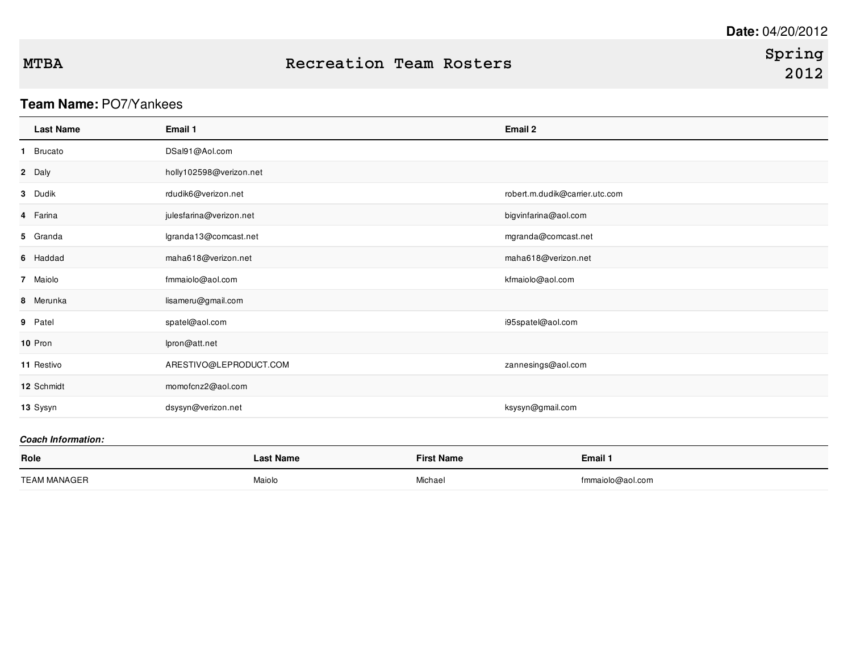### **Team Name:** PO7/Yankees

| <b>Last Name</b> | Email 1                 | Email 2                        |
|------------------|-------------------------|--------------------------------|
| 1 Brucato        | DSal91@Aol.com          |                                |
| 2 Daly           | holly102598@verizon.net |                                |
| 3 Dudik          | rdudik6@verizon.net     | robert.m.dudik@carrier.utc.com |
| 4 Farina         | julesfarina@verizon.net | bigvinfarina@aol.com           |
| 5 Granda         | lgranda13@comcast.net   | mgranda@comcast.net            |
| 6 Haddad         | maha618@verizon.net     | maha618@verizon.net            |
| 7 Maiolo         | fmmaiolo@aol.com        | kfmaiolo@aol.com               |
| 8 Merunka        | lisameru@gmail.com      |                                |
| 9 Patel          | spatel@aol.com          | i95spatel@aol.com              |
| 10 Pron          | lpron@att.net           |                                |
| 11 Restivo       | ARESTIVO@LEPRODUCT.COM  | zannesings@aol.com             |
| 12 Schmidt       | momofcnz2@aol.com       |                                |
| 13 Sysyn         | dsysyn@verizon.net      | ksysyn@gmail.com               |

| Role                | ∟ast Name | <b>First Name</b> | Email 1          |
|---------------------|-----------|-------------------|------------------|
| <b>TEAM MANAGEP</b> | Maiolo    | Michae            | fmmaiolo@aol.com |
|                     |           |                   |                  |